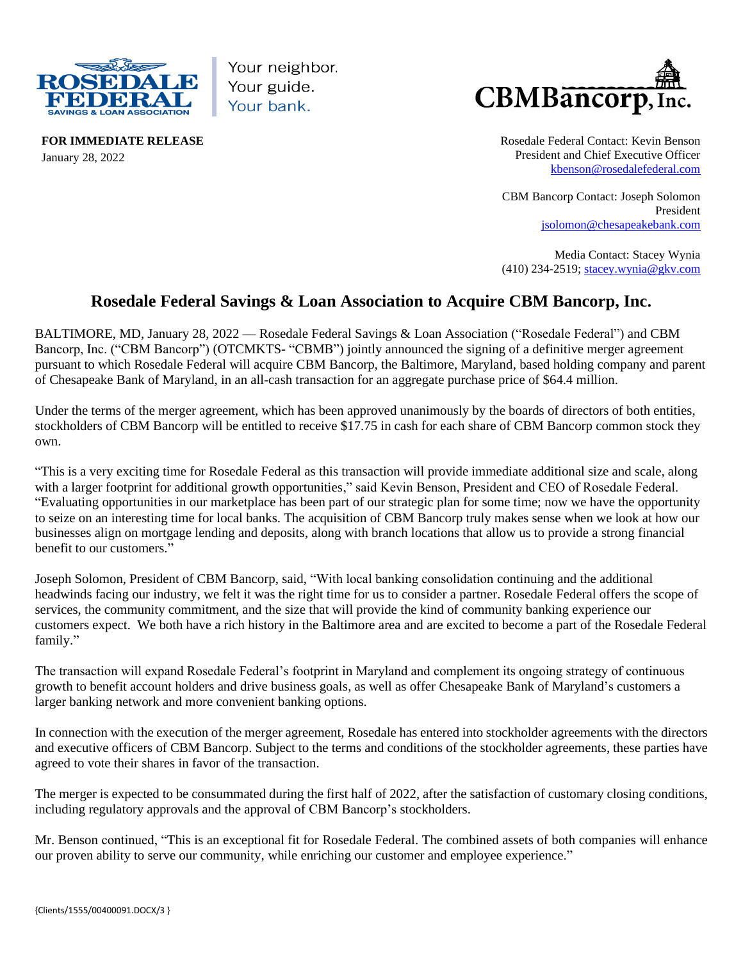

Your neighbor. Your guide. Your bank.



**FOR IMMEDIATE RELEASE** January 28, 2022

Rosedale Federal Contact: Kevin Benson President and Chief Executive Officer [kbenson@rosedalefederal.com](mailto:kbenson@rosedalefederal.com)

CBM Bancorp Contact: Joseph Solomon President [jsolomon@chesapeakebank.com](mailto:jsolomon@chesapeakebank.com)

Media Contact: Stacey Wynia (410) 234-2519[; stacey.wynia@gkv.com](mailto:stacey.wynia@gkv.com)

## **Rosedale Federal Savings & Loan Association to Acquire CBM Bancorp, Inc.**

BALTIMORE, MD, January 28, 2022 — Rosedale Federal Savings & Loan Association ("Rosedale Federal") and CBM Bancorp, Inc. ("CBM Bancorp") (OTCMKTS- "CBMB") jointly announced the signing of a definitive merger agreement pursuant to which Rosedale Federal will acquire CBM Bancorp, the Baltimore, Maryland, based holding company and parent of Chesapeake Bank of Maryland, in an all-cash transaction for an aggregate purchase price of \$64.4 million.

Under the terms of the merger agreement, which has been approved unanimously by the boards of directors of both entities, stockholders of CBM Bancorp will be entitled to receive \$17.75 in cash for each share of CBM Bancorp common stock they own.

"This is a very exciting time for Rosedale Federal as this transaction will provide immediate additional size and scale, along with a larger footprint for additional growth opportunities," said Kevin Benson, President and CEO of Rosedale Federal. "Evaluating opportunities in our marketplace has been part of our strategic plan for some time; now we have the opportunity to seize on an interesting time for local banks. The acquisition of CBM Bancorp truly makes sense when we look at how our businesses align on mortgage lending and deposits, along with branch locations that allow us to provide a strong financial benefit to our customers."

Joseph Solomon, President of CBM Bancorp, said, "With local banking consolidation continuing and the additional headwinds facing our industry, we felt it was the right time for us to consider a partner. Rosedale Federal offers the scope of services, the community commitment, and the size that will provide the kind of community banking experience our customers expect. We both have a rich history in the Baltimore area and are excited to become a part of the Rosedale Federal family."

The transaction will expand Rosedale Federal's footprint in Maryland and complement its ongoing strategy of continuous growth to benefit account holders and drive business goals, as well as offer Chesapeake Bank of Maryland's customers a larger banking network and more convenient banking options.

In connection with the execution of the merger agreement, Rosedale has entered into stockholder agreements with the directors and executive officers of CBM Bancorp. Subject to the terms and conditions of the stockholder agreements, these parties have agreed to vote their shares in favor of the transaction.

The merger is expected to be consummated during the first half of 2022, after the satisfaction of customary closing conditions, including regulatory approvals and the approval of CBM Bancorp's stockholders.

Mr. Benson continued, "This is an exceptional fit for Rosedale Federal. The combined assets of both companies will enhance our proven ability to serve our community, while enriching our customer and employee experience."